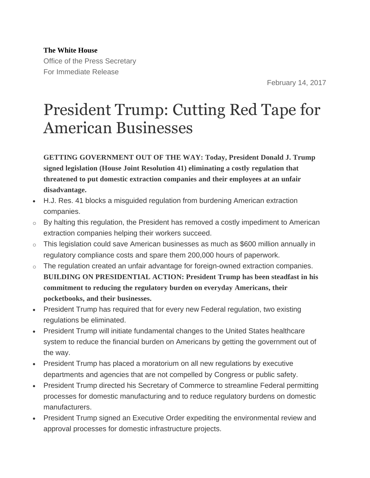**The White House** Office of the Press Secretary For Immediate Release

February 14, 2017

## President Trump: Cutting Red Tape for American Businesses

**GETTING GOVERNMENT OUT OF THE WAY: Today, President Donald J. Trump signed legislation (House Joint Resolution 41) eliminating a costly regulation that threatened to put domestic extraction companies and their employees at an unfair disadvantage.**

- H.J. Res. 41 blocks a misguided regulation from burdening American extraction companies.
- o By halting this regulation, the President has removed a costly impediment to American extraction companies helping their workers succeed.
- $\circ$  This legislation could save American businesses as much as \$600 million annually in regulatory compliance costs and spare them 200,000 hours of paperwork.
- $\circ$  The regulation created an unfair advantage for foreign-owned extraction companies. **BUILDING ON PRESIDENTIAL ACTION: President Trump has been steadfast in his commitment to reducing the regulatory burden on everyday Americans, their pocketbooks, and their businesses.**
- President Trump has required that for every new Federal regulation, two existing regulations be eliminated.
- President Trump will initiate fundamental changes to the United States healthcare system to reduce the financial burden on Americans by getting the government out of the way.
- President Trump has placed a moratorium on all new regulations by executive departments and agencies that are not compelled by Congress or public safety.
- President Trump directed his Secretary of Commerce to streamline Federal permitting processes for domestic manufacturing and to reduce regulatory burdens on domestic manufacturers.
- President Trump signed an Executive Order expediting the environmental review and approval processes for domestic infrastructure projects.